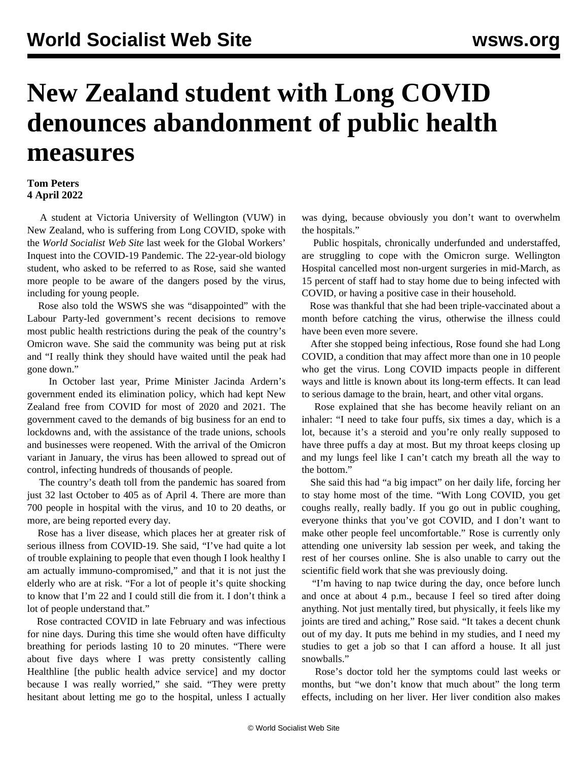## **New Zealand student with Long COVID denounces abandonment of public health measures**

## **Tom Peters 4 April 2022**

 A student at Victoria University of Wellington (VUW) in New Zealand, who is suffering from Long COVID, spoke with the *World Socialist Web Site* last week for the Global Workers' Inquest into the COVID-19 Pandemic. The 22-year-old biology student, who asked to be referred to as Rose, said she wanted more people to be aware of the dangers posed by the virus, including for young people.

 Rose also told the WSWS she was "disappointed" with the Labour Party-led government's recent decisions to remove most public health restrictions during the peak of the country's Omicron wave. She said the community was being put at risk and "I really think they should have waited until the peak had gone down."

 In October last year, Prime Minister Jacinda Ardern's government [ended](/en/articles/2021/10/06/elim-o06.html) its elimination policy, which had kept New Zealand free from COVID for most of 2020 and 2021. The government caved to the demands of big business for an end to lockdowns and, with the assistance of the trade unions, schools and businesses were reopened. With the arrival of the Omicron variant in January, the virus has been allowed to spread out of control, infecting hundreds of thousands of people.

 The country's death toll from the pandemic has [soared](/en/articles/2022/04/01/nzco-a01.html) from just 32 last October to 405 as of April 4. There are more than 700 people in hospital with the virus, and 10 to 20 deaths, or more, are being reported every day.

 Rose has a liver disease, which places her at greater risk of serious illness from COVID-19. She said, "I've had quite a lot of trouble explaining to people that even though I look healthy I am actually immuno-compromised," and that it is not just the elderly who are at risk. "For a lot of people it's quite shocking to know that I'm 22 and I could still die from it. I don't think a lot of people understand that."

 Rose contracted COVID in late February and was infectious for nine days. During this time she would often have difficulty breathing for periods lasting 10 to 20 minutes. "There were about five days where I was pretty consistently calling Healthline [the public health advice service] and my doctor because I was really worried," she said. "They were pretty hesitant about letting me go to the hospital, unless I actually

was dying, because obviously you don't want to overwhelm the hospitals."

 Public hospitals, chronically underfunded and understaffed, are struggling to cope with the Omicron surge. Wellington Hospital cancelled most non-urgent surgeries in mid-March, as 15 percent of staff had to stay home due to being infected with COVID, or having a positive case in their household.

 Rose was thankful that she had been triple-vaccinated about a month before catching the virus, otherwise the illness could have been even more severe.

 After she stopped being infectious, Rose found she had Long COVID, a condition that may affect more than one in 10 people who get the virus. Long COVID impacts people in different ways and little is known about its long-term effects. It can lead to serious damage to the brain, heart, and other vital organs.

 Rose explained that she has become heavily reliant on an inhaler: "I need to take four puffs, six times a day, which is a lot, because it's a steroid and you're only really supposed to have three puffs a day at most. But my throat keeps closing up and my lungs feel like I can't catch my breath all the way to the bottom."

 She said this had "a big impact" on her daily life, forcing her to stay home most of the time. "With Long COVID, you get coughs really, really badly. If you go out in public coughing, everyone thinks that you've got COVID, and I don't want to make other people feel uncomfortable." Rose is currently only attending one university lab session per week, and taking the rest of her courses online. She is also unable to carry out the scientific field work that she was previously doing.

 "I'm having to nap twice during the day, once before lunch and once at about 4 p.m., because I feel so tired after doing anything. Not just mentally tired, but physically, it feels like my joints are tired and aching," Rose said. "It takes a decent chunk out of my day. It puts me behind in my studies, and I need my studies to get a job so that I can afford a house. It all just snowballs."

 Rose's doctor told her the symptoms could last weeks or months, but "we don't know that much about" the long term effects, including on her liver. Her liver condition also makes